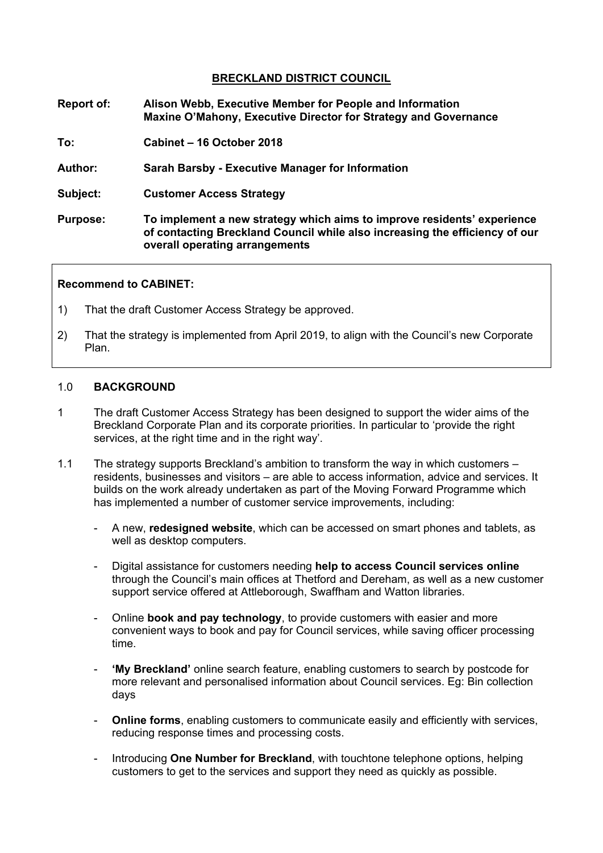### **BRECKLAND DISTRICT COUNCIL**

- **Report of: Alison Webb, Executive Member for People and Information Maxine O'Mahony, Executive Director for Strategy and Governance**
- **To: Cabinet – 16 October 2018**
- **Author: Sarah Barsby - Executive Manager for Information**
- **Subject: Customer Access Strategy**
- **Purpose: To implement a new strategy which aims to improve residents' experience of contacting Breckland Council while also increasing the efficiency of our overall operating arrangements**

#### **Recommend to CABINET:**

- 1) That the draft Customer Access Strategy be approved.
- 2) That the strategy is implemented from April 2019, to align with the Council's new Corporate Plan.

#### 1.0 **BACKGROUND**

- 1 The draft Customer Access Strategy has been designed to support the wider aims of the Breckland Corporate Plan and its corporate priorities. In particular to 'provide the right services, at the right time and in the right way'.
- 1.1 The strategy supports Breckland's ambition to transform the way in which customers residents, businesses and visitors – are able to access information, advice and services. It builds on the work already undertaken as part of the Moving Forward Programme which has implemented a number of customer service improvements, including:
	- A new, **redesigned website**, which can be accessed on smart phones and tablets, as well as desktop computers.
	- Digital assistance for customers needing **help to access Council services online** through the Council's main offices at Thetford and Dereham, as well as a new customer support service offered at Attleborough, Swaffham and Watton libraries.
	- Online **book and pay technology**, to provide customers with easier and more convenient ways to book and pay for Council services, while saving officer processing time.
	- **'My Breckland'** online search feature, enabling customers to search by postcode for more relevant and personalised information about Council services. Eg: Bin collection days
	- **Online forms**, enabling customers to communicate easily and efficiently with services, reducing response times and processing costs.
	- Introducing **One Number for Breckland**, with touchtone telephone options, helping customers to get to the services and support they need as quickly as possible.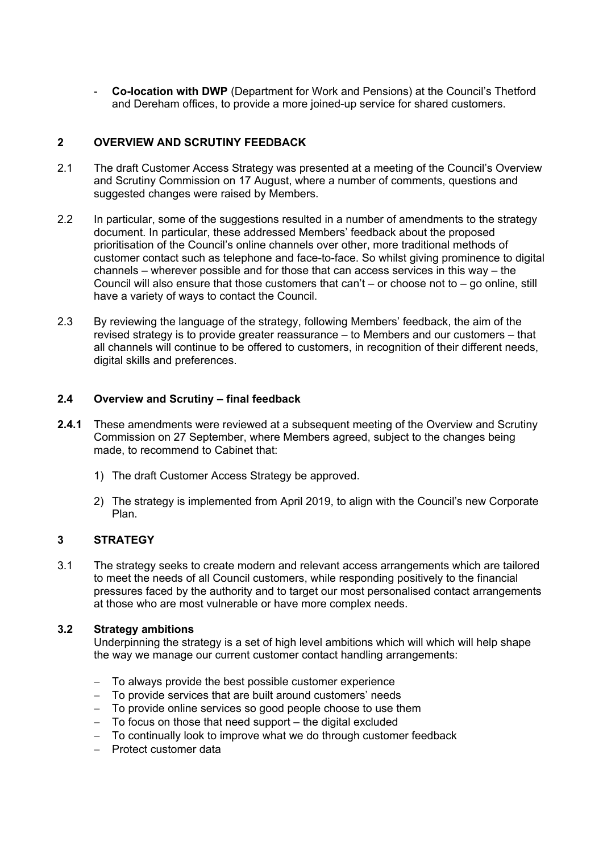- **Co-location with DWP** (Department for Work and Pensions) at the Council's Thetford and Dereham offices, to provide a more joined-up service for shared customers.

### **2 OVERVIEW AND SCRUTINY FEEDBACK**

- 2.1 The draft Customer Access Strategy was presented at a meeting of the Council's Overview and Scrutiny Commission on 17 August, where a number of comments, questions and suggested changes were raised by Members.
- 2.2 In particular, some of the suggestions resulted in a number of amendments to the strategy document. In particular, these addressed Members' feedback about the proposed prioritisation of the Council's online channels over other, more traditional methods of customer contact such as telephone and face-to-face. So whilst giving prominence to digital channels – wherever possible and for those that can access services in this way – the Council will also ensure that those customers that can't – or choose not to – go online, still have a variety of ways to contact the Council.
- 2.3 By reviewing the language of the strategy, following Members' feedback, the aim of the revised strategy is to provide greater reassurance – to Members and our customers – that all channels will continue to be offered to customers, in recognition of their different needs, digital skills and preferences.

#### **2.4 Overview and Scrutiny – final feedback**

- **2.4.1** These amendments were reviewed at a subsequent meeting of the Overview and Scrutiny Commission on 27 September, where Members agreed, subject to the changes being made, to recommend to Cabinet that:
	- 1) The draft Customer Access Strategy be approved.
	- 2) The strategy is implemented from April 2019, to align with the Council's new Corporate Plan.

## **3 STRATEGY**

3.1 The strategy seeks to create modern and relevant access arrangements which are tailored to meet the needs of all Council customers, while responding positively to the financial pressures faced by the authority and to target our most personalised contact arrangements at those who are most vulnerable or have more complex needs.

#### **3.2 Strategy ambitions**

Underpinning the strategy is a set of high level ambitions which will which will help shape the way we manage our current customer contact handling arrangements:

- To always provide the best possible customer experience
- To provide services that are built around customers' needs
- To provide online services so good people choose to use them
- To focus on those that need support the digital excluded
- To continually look to improve what we do through customer feedback
- Protect customer data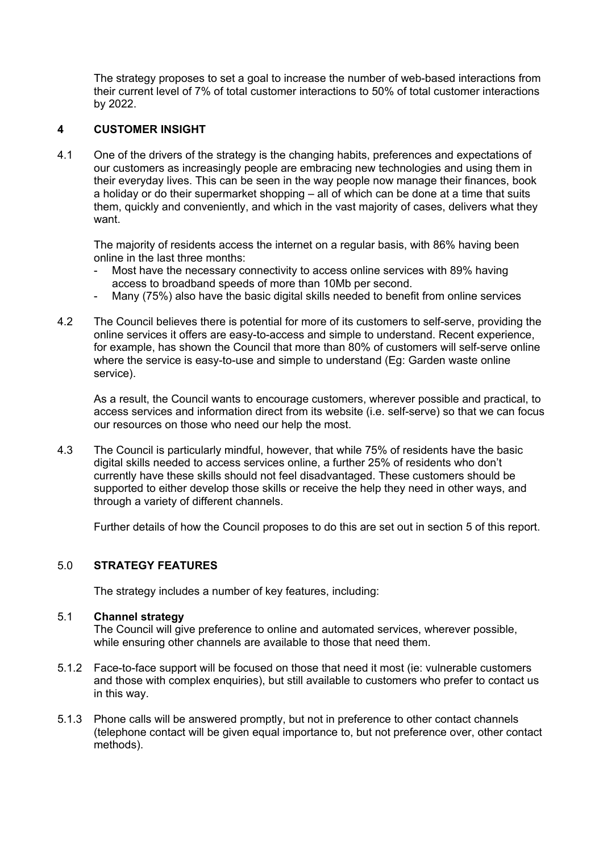The strategy proposes to set a goal to increase the number of web-based interactions from their current level of 7% of total customer interactions to 50% of total customer interactions by 2022.

#### **4 CUSTOMER INSIGHT**

4.1 One of the drivers of the strategy is the changing habits, preferences and expectations of our customers as increasingly people are embracing new technologies and using them in their everyday lives. This can be seen in the way people now manage their finances, book a holiday or do their supermarket shopping – all of which can be done at a time that suits them, quickly and conveniently, and which in the vast majority of cases, delivers what they want.

The majority of residents access the internet on a regular basis, with 86% having been online in the last three months:

- Most have the necessary connectivity to access online services with 89% having access to broadband speeds of more than 10Mb per second.
- Many (75%) also have the basic digital skills needed to benefit from online services
- 4.2 The Council believes there is potential for more of its customers to self-serve, providing the online services it offers are easy-to-access and simple to understand. Recent experience, for example, has shown the Council that more than 80% of customers will self-serve online where the service is easy-to-use and simple to understand (Eg: Garden waste online service).

As a result, the Council wants to encourage customers, wherever possible and practical, to access services and information direct from its website (i.e. self-serve) so that we can focus our resources on those who need our help the most.

4.3 The Council is particularly mindful, however, that while 75% of residents have the basic digital skills needed to access services online, a further 25% of residents who don't currently have these skills should not feel disadvantaged. These customers should be supported to either develop those skills or receive the help they need in other ways, and through a variety of different channels.

Further details of how the Council proposes to do this are set out in section 5 of this report.

#### 5.0 **STRATEGY FEATURES**

The strategy includes a number of key features, including:

#### 5.1 **Channel strategy**

The Council will give preference to online and automated services, wherever possible, while ensuring other channels are available to those that need them.

- 5.1.2 Face-to-face support will be focused on those that need it most (ie: vulnerable customers and those with complex enquiries), but still available to customers who prefer to contact us in this way.
- 5.1.3 Phone calls will be answered promptly, but not in preference to other contact channels (telephone contact will be given equal importance to, but not preference over, other contact methods).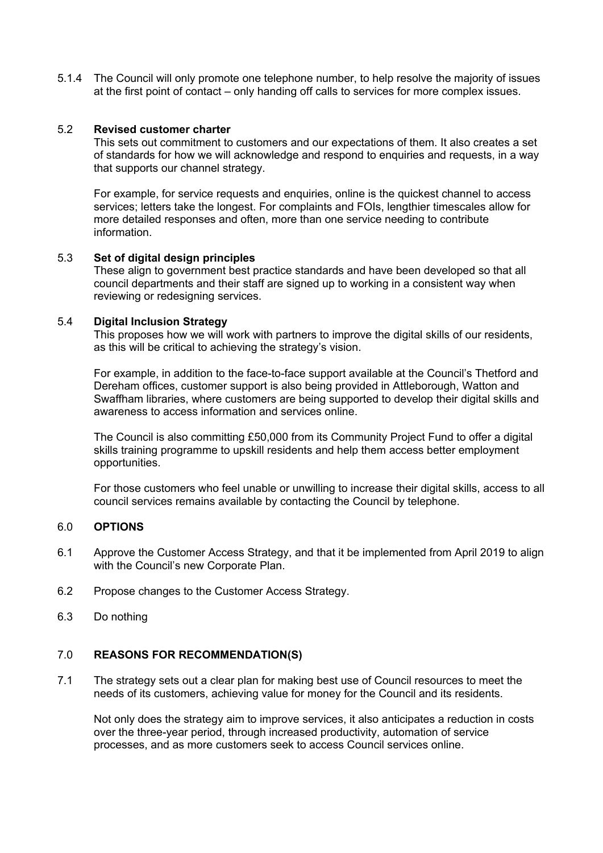5.1.4 The Council will only promote one telephone number, to help resolve the majority of issues at the first point of contact – only handing off calls to services for more complex issues.

#### 5.2 **Revised customer charter**

This sets out commitment to customers and our expectations of them. It also creates a set of standards for how we will acknowledge and respond to enquiries and requests, in a way that supports our channel strategy.

For example, for service requests and enquiries, online is the quickest channel to access services; letters take the longest. For complaints and FOIs, lengthier timescales allow for more detailed responses and often, more than one service needing to contribute information.

#### 5.3 **Set of digital design principles**

These align to government best practice standards and have been developed so that all council departments and their staff are signed up to working in a consistent way when reviewing or redesigning services.

#### 5.4 **Digital Inclusion Strategy**

This proposes how we will work with partners to improve the digital skills of our residents, as this will be critical to achieving the strategy's vision.

For example, in addition to the face-to-face support available at the Council's Thetford and Dereham offices, customer support is also being provided in Attleborough, Watton and Swaffham libraries, where customers are being supported to develop their digital skills and awareness to access information and services online.

The Council is also committing £50,000 from its Community Project Fund to offer a digital skills training programme to upskill residents and help them access better employment opportunities.

For those customers who feel unable or unwilling to increase their digital skills, access to all council services remains available by contacting the Council by telephone.

#### 6.0 **OPTIONS**

- 6.1 Approve the Customer Access Strategy, and that it be implemented from April 2019 to align with the Council's new Corporate Plan.
- 6.2 Propose changes to the Customer Access Strategy.
- 6.3 Do nothing

#### 7.0 **REASONS FOR RECOMMENDATION(S)**

7.1 The strategy sets out a clear plan for making best use of Council resources to meet the needs of its customers, achieving value for money for the Council and its residents.

Not only does the strategy aim to improve services, it also anticipates a reduction in costs over the three-year period, through increased productivity, automation of service processes, and as more customers seek to access Council services online.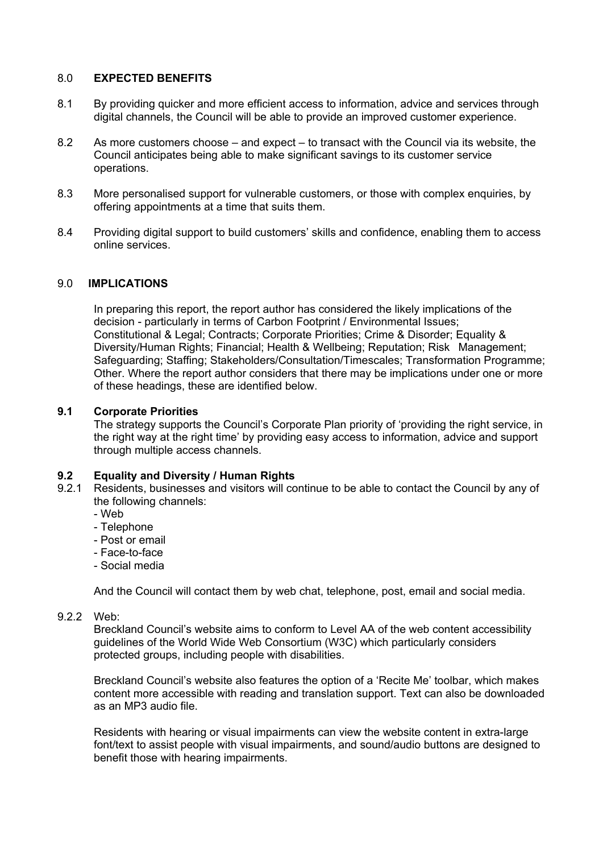#### 8.0 **EXPECTED BENEFITS**

- 8.1 By providing quicker and more efficient access to information, advice and services through digital channels, the Council will be able to provide an improved customer experience.
- 8.2 As more customers choose and expect to transact with the Council via its website, the Council anticipates being able to make significant savings to its customer service operations.
- 8.3 More personalised support for vulnerable customers, or those with complex enquiries, by offering appointments at a time that suits them.
- 8.4 Providing digital support to build customers' skills and confidence, enabling them to access online services.

#### 9.0 **IMPLICATIONS**

In preparing this report, the report author has considered the likely implications of the decision - particularly in terms of Carbon Footprint / Environmental Issues; Constitutional & Legal; Contracts; Corporate Priorities; Crime & Disorder; Equality & Diversity/Human Rights; Financial; Health & Wellbeing; Reputation; Risk Management; Safeguarding; Staffing; Stakeholders/Consultation/Timescales; Transformation Programme; Other. Where the report author considers that there may be implications under one or more of these headings, these are identified below.

#### **9.1 Corporate Priorities**

The strategy supports the Council's Corporate Plan priority of 'providing the right service, in the right way at the right time' by providing easy access to information, advice and support through multiple access channels.

# **9.2 Equality and Diversity / Human Rights**

- Residents, businesses and visitors will continue to be able to contact the Council by any of the following channels:
	- Web
	- Telephone
	- Post or email
	- Face-to-face
	- Social media

And the Council will contact them by web chat, telephone, post, email and social media.

#### 9.2.2 Web:

Breckland Council's website aims to conform to Level AA of the web content accessibility guidelines of the World Wide Web Consortium (W3C) which particularly considers protected groups, including people with disabilities.

Breckland Council's website also features the option of a 'Recite Me' toolbar, which makes content more accessible with reading and translation support. Text can also be downloaded as an MP3 audio file.

Residents with hearing or visual impairments can view the website content in extra-large font/text to assist people with visual impairments, and sound/audio buttons are designed to benefit those with hearing impairments.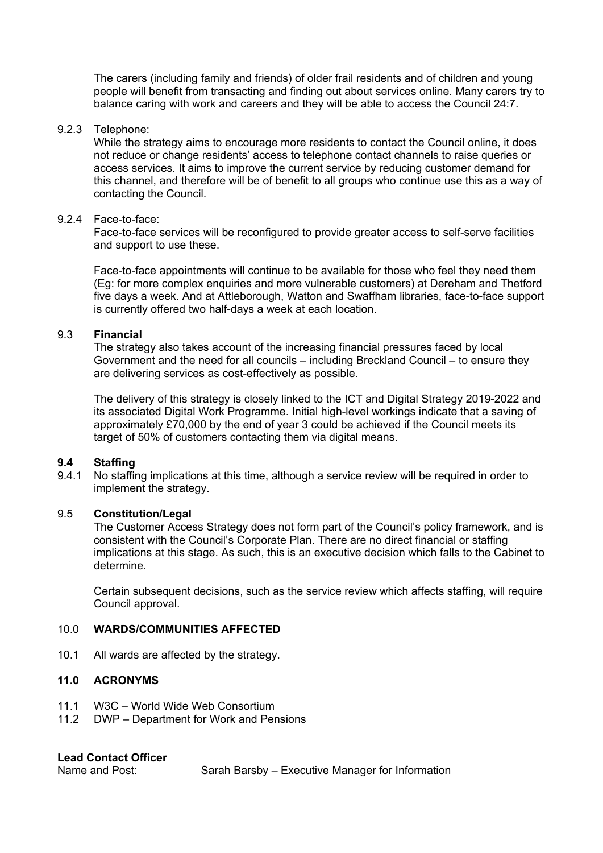The carers (including family and friends) of older frail residents and of children and young people will benefit from transacting and finding out about services online. Many carers try to balance caring with work and careers and they will be able to access the Council 24:7.

#### 9.2.3 Telephone:

While the strategy aims to encourage more residents to contact the Council online, it does not reduce or change residents' access to telephone contact channels to raise queries or access services. It aims to improve the current service by reducing customer demand for this channel, and therefore will be of benefit to all groups who continue use this as a way of contacting the Council.

#### 9.2.4 Face-to-face:

Face-to-face services will be reconfigured to provide greater access to self-serve facilities and support to use these.

Face-to-face appointments will continue to be available for those who feel they need them (Eg: for more complex enquiries and more vulnerable customers) at Dereham and Thetford five days a week. And at Attleborough, Watton and Swaffham libraries, face-to-face support is currently offered two half-days a week at each location.

#### 9.3 **Financial**

The strategy also takes account of the increasing financial pressures faced by local Government and the need for all councils – including Breckland Council – to ensure they are delivering services as cost-effectively as possible.

The delivery of this strategy is closely linked to the ICT and Digital Strategy 2019-2022 and its associated Digital Work Programme. Initial high-level workings indicate that a saving of approximately £70,000 by the end of year 3 could be achieved if the Council meets its target of 50% of customers contacting them via digital means.

#### **9.4 Staffing**

9.4.1 No staffing implications at this time, although a service review will be required in order to implement the strategy.

#### 9.5 **Constitution/Legal**

The Customer Access Strategy does not form part of the Council's policy framework, and is consistent with the Council's Corporate Plan. There are no direct financial or staffing implications at this stage. As such, this is an executive decision which falls to the Cabinet to determine.

Certain subsequent decisions, such as the service review which affects staffing, will require Council approval.

#### 10.0 **WARDS/COMMUNITIES AFFECTED**

10.1 All wards are affected by the strategy.

#### **11.0 ACRONYMS**

- 11.1 W3C World Wide Web Consortium
- 11.2 DWP Department for Work and Pensions

#### **Lead Contact Officer**

Name and Post: Sarah Barsby – Executive Manager for Information